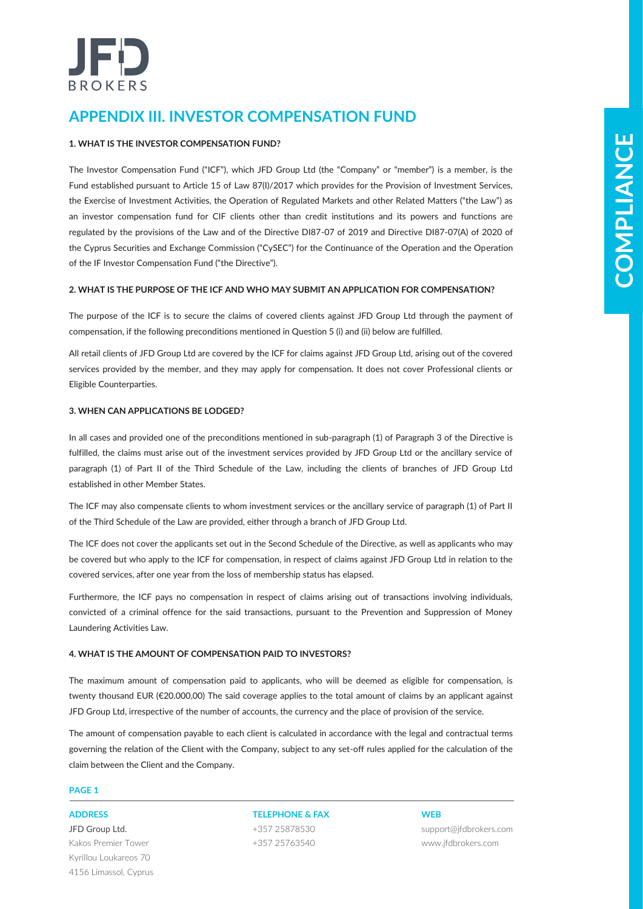# IED **BROKERS**

# **APPENDIX III. INVESTOR COMPENSATION FUND**

# **1. WHAT IS THE INVESTOR COMPENSATION FUND?**

**Constrained in the real methodology state of the real disk of cases in methods and the state of the real methodology in the real methodology in the real methodology in the real methodology in the real methodology in the r** The Investor Compensation Fund ("ICF"), which JFD Group Ltd (the "Company" or "member") is a member, is the Fund established pursuant to Article 15 of Law 87(Ι)/2017 which provides for the Provision of Investment Services, the Exercise of Investment Activities, the Operation of Regulated Markets and other Related Matters ("the Law") as an investor compensation fund for CIF clients other than credit institutions and its powers and functions are regulated by the provisions of the Law and of the Directive DI87-07 of 2019 and Directive DI87-07(Α) of 2020 of the Cyprus Securities and Exchange Commission ("CySEC") for the Continuance of the Operation and the Operation of the IF Investor Compensation Fund ("the Directive").

# **2. WHAT IS THE PURPOSE OF THE ICF AND WHO MAY SUBMIT AN APPLICATION FOR COMPENSATION?**

The purpose of the ICF is to secure the claims of covered clients against JFD Group Ltd through the payment of compensation, if the following preconditions mentioned in Question 5 (i) and (ii) below are fulfilled.

All retail clients of JFD Group Ltd are covered by the ICF for claims against JFD Group Ltd, arising out of the covered services provided by the member, and they may apply for compensation. It does not cover Professional clients or Eligible Counterparties.

# **3. WHEN CAN APPLICATIONS BE LODGED?**

In all cases and provided one of the preconditions mentioned in sub-paragraph (1) of Paragraph 3 of the Directive is fulfilled, the claims must arise out of the investment services provided by JFD Group Ltd or the ancillary service of paragraph (1) of Part II of the Third Schedule of the Law, including the clients of branches of JFD Group Ltd established in other Member States.

The ICF may also compensate clients to whom investment services or the ancillary service of paragraph (1) of Part II of the Third Schedule of the Law are provided, either through a branch of JFD Group Ltd.

The ICF does not cover the applicants set out in the Second Schedule of the Directive, as well as applicants who may be covered but who apply to the ICF for compensation, in respect of claims against JFD Group Ltd in relation to the covered services, after one year from the loss of membership status has elapsed.

Furthermore, the ICF pays no compensation in respect of claims arising out of transactions involving individuals, convicted of a criminal offence for the said transactions, pursuant to the Prevention and Suppression of Money Laundering Activities Law.

# **4. WHAT IS THE AMOUNT OF COMPENSATION PAID TO INVESTORS?**

The maximum amount of compensation paid to applicants, who will be deemed as eligible for compensation, is twenty thousand EUR (€20.000,00) The said coverage applies to the total amount of claims by an applicant against JFD Group Ltd, irrespective of the number of accounts, the currency and the place of provision of the service.

The amount of compensation payable to each client is calculated in accordance with the legal and contractual terms governing the relation of the Client with the Company, subject to any set-off rules applied for the calculation of the claim between the Client and the Company.

# **PAGE 1**

JFD Group Ltd. Kakos Premier Tower Kyrillou Loukareos 70 4156 Limassol, Cyprus

**ADDRESS TELEPHONE & FAX WEB** +357 25878530 +357 25763540

support@jfdbrokers.com www.jfdbrokers.com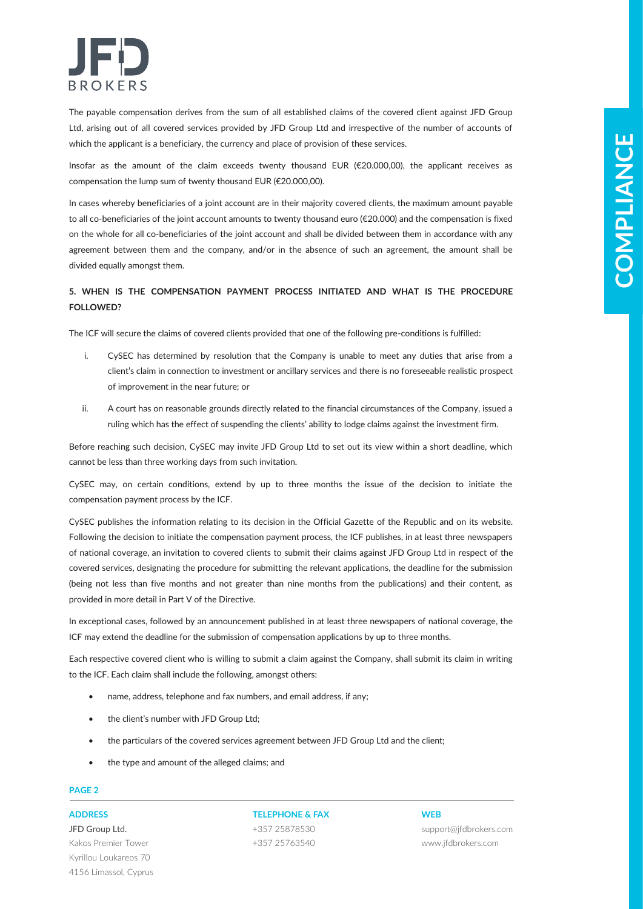

The payable compensation derives from the sum of all established claims of the covered client against JFD Group Ltd, arising out of all covered services provided by JFD Group Ltd and irrespective of the number of accounts of which the applicant is a beneficiary, the currency and place of provision of these services.

Insofar as the amount of the claim exceeds twenty thousand EUR (€20.000,00), the applicant receives as compensation the lump sum of twenty thousand EUR (€20.000,00).

In cases whereby beneficiaries of a joint account are in their majority covered clients, the maximum amount payable to all co-beneficiaries of the joint account amounts to twenty thousand euro (€20.000) and the compensation is fixed on the whole for all co-beneficiaries of the joint account and shall be divided between them in accordance with any agreement between them and the company, and/or in the absence of such an agreement, the amount shall be divided equally amongst them.

# **5. WHEN IS THE COMPENSATION PAYMENT PROCESS INITIATED AND WHAT IS THE PROCEDURE FOLLOWED?**

The ICF will secure the claims of covered clients provided that one of the following pre-conditions is fulfilled:

- i. CySEC has determined by resolution that the Company is unable to meet any duties that arise from a client's claim in connection to investment or ancillary services and there is no foreseeable realistic prospect of improvement in the near future; or
- ii. A court has on reasonable grounds directly related to the financial circumstances of the Company, issued a ruling which has the effect of suspending the clients' ability to lodge claims against the investment firm.

Before reaching such decision, CySEC may invite JFD Group Ltd to set out its view within a short deadline, which cannot be less than three working days from such invitation.

CySEC may, on certain conditions, extend by up to three months the issue of the decision to initiate the compensation payment process by the ICF.

**Solution and the set of the control of the set of the set of the set of the set of the set of the set of the set of the set of the set of the set of the set of the set of the set of the set of the set of the set of the se** CySEC publishes the information relating to its decision in the Official Gazette of the Republic and on its website. Following the decision to initiate the compensation payment process, the ICF publishes, in at least three newspapers of national coverage, an invitation to covered clients to submit their claims against JFD Group Ltd in respect of the covered services, designating the procedure for submitting the relevant applications, the deadline for the submission (being not less than five months and not greater than nine months from the publications) and their content, as provided in more detail in Part V of the Directive.

In exceptional cases, followed by an announcement published in at least three newspapers of national coverage, the ICF may extend the deadline for the submission of compensation applications by up to three months.

Each respective covered client who is willing to submit a claim against the Company, shall submit its claim in writing to the ICF. Each claim shall include the following, amongst others:

- name, address, telephone and fax numbers, and email address, if any;
- the client's number with JFD Group Ltd;
- the particulars of the covered services agreement between JFD Group Ltd and the client;
- the type and amount of the alleged claims; and

# **PAGE 2**

JFD Group Ltd. Kakos Premier Tower Kyrillou Loukareos 70 4156 Limassol, Cyprus

# **ADDRESS TELEPHONE & FAX WEB**

+357 25878530 +357 25763540

support@jfdbrokers.com www.jfdbrokers.com